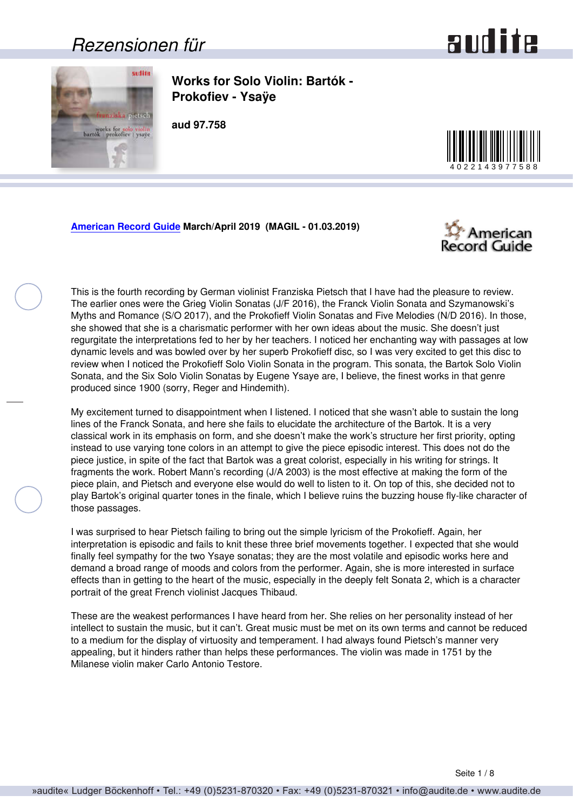### *Rezensionen für*



<span id="page-0-0"></span>

**Works for Solo Violin: Bartók - Prokofiev - Ysaÿe**

**aud 97.758**



#### **[American Record Guide](http://www.americanrecordguide.com) March/April 2019 (MAGIL - 01.03.2019)**



This is the fourth recording by German violinist Franziska Pietsch that I have had the pleasure to review. The earlier ones were the Grieg Violin Sonatas (J/F 2016), the Franck Violin Sonata and Szymanowski's Myths and Romance (S/O 2017), and the Prokofieff Violin Sonatas and Five Melodies (N/D 2016). In those, she showed that she is a charismatic performer with her own ideas about the music. She doesn't just regurgitate the interpretations fed to her by her teachers. I noticed her enchanting way with passages at low dynamic levels and was bowled over by her superb Prokofieff disc, so I was very excited to get this disc to review when I noticed the Prokofieff Solo Violin Sonata in the program. This sonata, the Bartok Solo Violin Sonata, and the Six Solo Violin Sonatas by Eugene Ysaye are, I believe, the finest works in that genre produced since 1900 (sorry, Reger and Hindemith).

My excitement turned to disappointment when I listened. I noticed that she wasn't able to sustain the long lines of the Franck Sonata, and here she fails to elucidate the architecture of the Bartok. It is a very classical work in its emphasis on form, and she doesn't make the work's structure her first priority, opting instead to use varying tone colors in an attempt to give the piece episodic interest. This does not do the piece justice, in spite of the fact that Bartok was a great colorist, especially in his writing for strings. It fragments the work. Robert Mann's recording (J/A 2003) is the most effective at making the form of the piece plain, and Pietsch and everyone else would do well to listen to it. On top of this, she decided not to play Bartok's original quarter tones in the finale, which I believe ruins the buzzing house fly-like character of those passages.

I was surprised to hear Pietsch failing to bring out the simple lyricism of the Prokofieff. Again, her interpretation is episodic and fails to knit these three brief movements together. I expected that she would finally feel sympathy for the two Ysaye sonatas; they are the most volatile and episodic works here and demand a broad range of moods and colors from the performer. Again, she is more interested in surface effects than in getting to the heart of the music, especially in the deeply felt Sonata 2, which is a character portrait of the great French violinist Jacques Thibaud.

These are the weakest performances I have heard from her. She relies on her personality instead of her intellect to sustain the music, but it can't. Great music must be met on its own terms and cannot be reduced to a medium for the display of virtuosity and temperament. I had always found Pietsch's manner very appealing, but it hinders rather than helps these performances. The violin was made in 1751 by the Milanese violin maker Carlo Antonio Testore.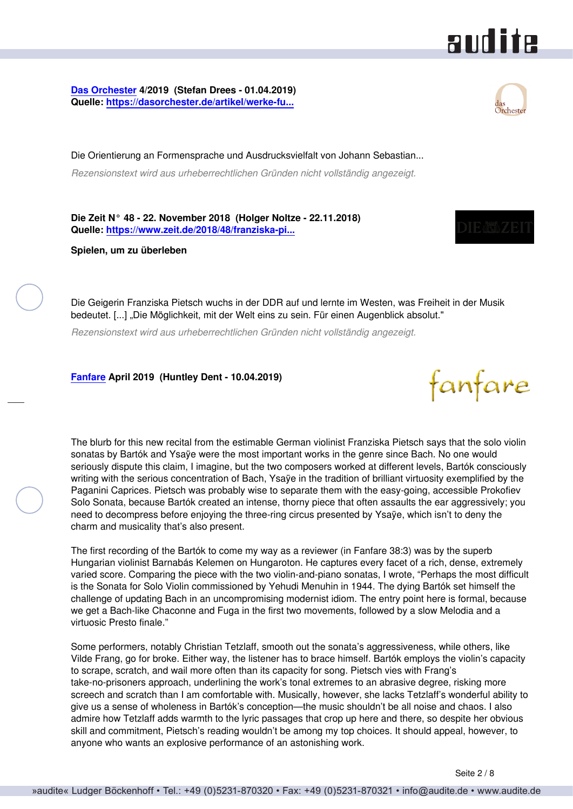### audite

<span id="page-1-0"></span>**[Das Orchester](http://www.dasorchester.de) 4/2019 (Stefan Drees - 01.04.2019) Quelle: [https://dasorchester.de/artikel/werke-fu...](https://dasorchester.de/artikel/werke-fuer-solovioline-von-bartok-prokofjew-und-ysaye/)**

Die Orientierung an Formensprache und Ausdrucksvielfalt von Johann Sebastian... *Rezensionstext wird aus urheberrechtlichen Gründen nicht vollständig angezeigt.*

**Die Zeit N° 48 - 22. November 2018 (Holger Noltze - 22.11.2018) Quelle: [https://www.zeit.de/2018/48/franziska-pi...](https://www.zeit.de/2018/48/franziska-pietsch-geigerin-ddr-freiheit-westdeutschland)**

**Spielen, um zu überleben**

Die Geigerin Franziska Pietsch wuchs in der DDR auf und lernte im Westen, was Freiheit in der Musik bedeutet. [...] "Die Möglichkeit, mit der Welt eins zu sein. Für einen Augenblick absolut."

*Rezensionstext wird aus urheberrechtlichen Gründen nicht vollständig angezeigt.*

**[Fanfare](http://www.fanfaremag.com/) April 2019 (Huntley Dent - 10.04.2019)**

The blurb for this new recital from the estimable German violinist Franziska Pietsch says that the solo violin sonatas by Bartók and Ysaÿe were the most important works in the genre since Bach. No one would seriously dispute this claim, I imagine, but the two composers worked at different levels, Bartók consciously writing with the serious concentration of Bach, Ysaye in the tradition of brilliant virtuosity exemplified by the Paganini Caprices. Pietsch was probably wise to separate them with the easy-going, accessible Prokofiev Solo Sonata, because Bartók created an intense, thorny piece that often assaults the ear aggressively; you need to decompress before enjoying the three-ring circus presented by Ysaÿe, which isn't to deny the charm and musicality that's also present.

The first recording of the Bartók to come my way as a reviewer (in Fanfare 38:3) was by the superb Hungarian violinist Barnabás Kelemen on Hungaroton. He captures every facet of a rich, dense, extremely varied score. Comparing the piece with the two violin-and-piano sonatas, I wrote, "Perhaps the most difficult is the Sonata for Solo Violin commissioned by Yehudi Menuhin in 1944. The dying Bartók set himself the challenge of updating Bach in an uncompromising modernist idiom. The entry point here is formal, because we get a Bach-like Chaconne and Fuga in the first two movements, followed by a slow Melodia and a virtuosic Presto finale."

Some performers, notably Christian Tetzlaff, smooth out the sonata's aggressiveness, while others, like Vilde Frang, go for broke. Either way, the listener has to brace himself. Bartók employs the violin's capacity to scrape, scratch, and wail more often than its capacity for song. Pietsch vies with Frang's take-no-prisoners approach, underlining the work's tonal extremes to an abrasive degree, risking more screech and scratch than I am comfortable with. Musically, however, she lacks Tetzlaff's wonderful ability to give us a sense of wholeness in Bartók's conception—the music shouldn't be all noise and chaos. I also admire how Tetzlaff adds warmth to the lyric passages that crop up here and there, so despite her obvious skill and commitment, Pietsch's reading wouldn't be among my top choices. It should appeal, however, to anyone who wants an explosive performance of an astonishing work.





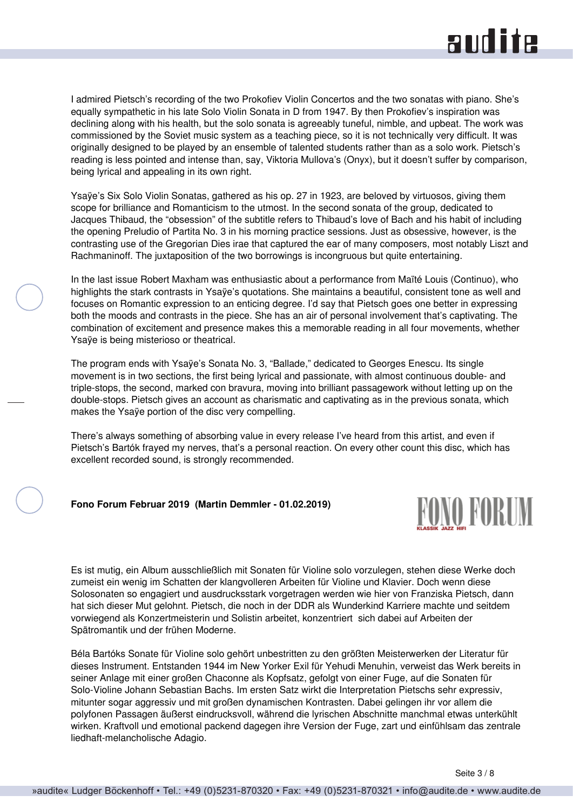## **RUD ite**

<span id="page-2-0"></span>I admired Pietsch's recording of the two Prokofiev Violin Concertos and the two sonatas with piano. She's equally sympathetic in his late Solo Violin Sonata in D from 1947. By then Prokofiev's inspiration was declining along with his health, but the solo sonata is agreeably tuneful, nimble, and upbeat. The work was commissioned by the Soviet music system as a teaching piece, so it is not technically very difficult. It was originally designed to be played by an ensemble of talented students rather than as a solo work. Pietsch's reading is less pointed and intense than, say, Viktoria Mullova's (Onyx), but it doesn't suffer by comparison, being lyrical and appealing in its own right.

Ysaÿe's Six Solo Violin Sonatas, gathered as his op. 27 in 1923, are beloved by virtuosos, giving them scope for brilliance and Romanticism to the utmost. In the second sonata of the group, dedicated to Jacques Thibaud, the "obsession" of the subtitle refers to Thibaud's love of Bach and his habit of including the opening Preludio of Partita No. 3 in his morning practice sessions. Just as obsessive, however, is the contrasting use of the Gregorian Dies irae that captured the ear of many composers, most notably Liszt and Rachmaninoff. The juxtaposition of the two borrowings is incongruous but quite entertaining.

In the last issue Robert Maxham was enthusiastic about a performance from Maïté Louis (Continuo), who highlights the stark contrasts in Ysaÿe's quotations. She maintains a beautiful, consistent tone as well and focuses on Romantic expression to an enticing degree. I'd say that Pietsch goes one better in expressing both the moods and contrasts in the piece. She has an air of personal involvement that's captivating. The combination of excitement and presence makes this a memorable reading in all four movements, whether Ysaÿe is being misterioso or theatrical.

The program ends with Ysaÿe's Sonata No. 3, "Ballade," dedicated to Georges Enescu. Its single movement is in two sections, the first being lyrical and passionate, with almost continuous double- and triple-stops, the second, marked con bravura, moving into brilliant passagework without letting up on the double-stops. Pietsch gives an account as charismatic and captivating as in the previous sonata, which makes the Ysaÿe portion of the disc very compelling.

There's always something of absorbing value in every release I've heard from this artist, and even if Pietsch's Bartók frayed my nerves, that's a personal reaction. On every other count this disc, which has excellent recorded sound, is strongly recommended.

**Fono Forum Februar 2019 (Martin Demmler - 01.02.2019)**



Es ist mutig, ein Album ausschließlich mit Sonaten für Violine solo vorzulegen, stehen diese Werke doch zumeist ein wenig im Schatten der klangvolleren Arbeiten für Violine und Klavier. Doch wenn diese Solosonaten so engagiert und ausdrucksstark vorgetragen werden wie hier von Franziska Pietsch, dann hat sich dieser Mut gelohnt. Pietsch, die noch in der DDR als Wunderkind Karriere machte und seitdem vorwiegend als Konzertmeisterin und Solistin arbeitet, konzentriert sich dabei auf Arbeiten der Spätromantik und der frühen Moderne.

Béla Bartóks Sonate für Violine solo gehört unbestritten zu den größten Meisterwerken der Literatur für dieses Instrument. Entstanden 1944 im New Yorker Exil für Yehudi Menuhin, verweist das Werk bereits in seiner Anlage mit einer großen Chaconne als Kopfsatz, gefolgt von einer Fuge, auf die Sonaten für Solo-Violine Johann Sebastian Bachs. Im ersten Satz wirkt die Interpretation Pietschs sehr expressiv, mitunter sogar aggressiv und mit großen dynamischen Kontrasten. Dabei gelingen ihr vor allem die polyfonen Passagen äußerst eindrucksvoll, während die lyrischen Abschnitte manchmal etwas unterkühlt wirken. Kraftvoll und emotional packend dagegen ihre Version der Fuge, zart und einfühlsam das zentrale liedhaft-melancholische Adagio.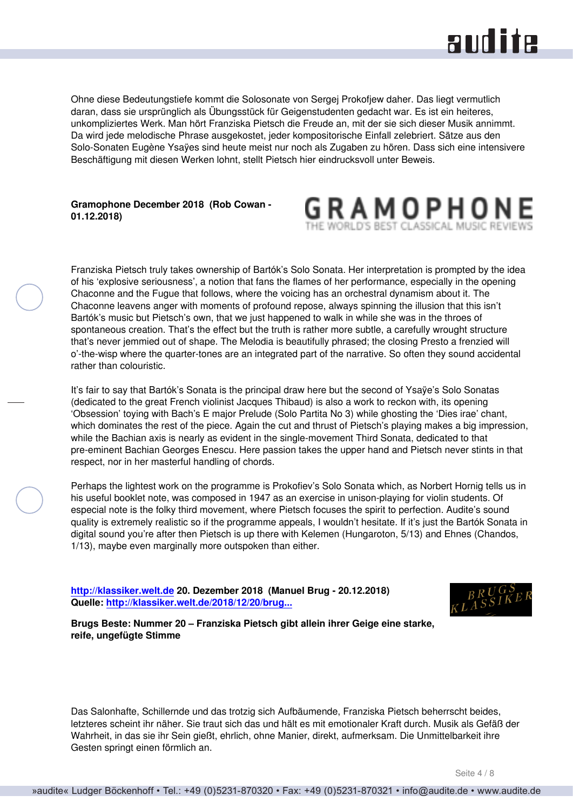### **RUD ite**

<span id="page-3-0"></span>Ohne diese Bedeutungstiefe kommt die Solosonate von Sergej Prokofjew daher. Das liegt vermutlich daran, dass sie ursprünglich als Übungsstück für Geigenstudenten gedacht war. Es ist ein heiteres, unkompliziertes Werk. Man hört Franziska Pietsch die Freude an, mit der sie sich dieser Musik annimmt. Da wird jede melodische Phrase ausgekostet, jeder kompositorische Einfall zelebriert. Sätze aus den Solo-Sonaten Eugène Ysaÿes sind heute meist nur noch als Zugaben zu hören. Dass sich eine intensivere Beschäftigung mit diesen Werken lohnt, stellt Pietsch hier eindrucksvoll unter Beweis.

#### **Gramophone December 2018 (Rob Cowan - 01.12.2018)**



Franziska Pietsch truly takes ownership of Bartók's Solo Sonata. Her interpretation is prompted by the idea of his 'explosive seriousness', a notion that fans the flames of her performance, especially in the opening Chaconne and the Fugue that follows, where the voicing has an orchestral dynamism about it. The Chaconne leavens anger with moments of profound repose, always spinning the illusion that this isn't Bartók's music but Pietsch's own, that we just happened to walk in while she was in the throes of spontaneous creation. That's the effect but the truth is rather more subtle, a carefully wrought structure that's never jemmied out of shape. The Melodia is beautifully phrased; the closing Presto a frenzied will o'-the-wisp where the quarter-tones are an integrated part of the narrative. So often they sound accidental rather than colouristic.

It's fair to say that Bartók's Sonata is the principal draw here but the second of Ysaÿe's Solo Sonatas (dedicated to the great French violinist Jacques Thibaud) is also a work to reckon with, its opening 'Obsession' toying with Bach's E major Prelude (Solo Partita No 3) while ghosting the 'Dies irae' chant, which dominates the rest of the piece. Again the cut and thrust of Pietsch's playing makes a big impression, while the Bachian axis is nearly as evident in the single-movement Third Sonata, dedicated to that pre-eminent Bachian Georges Enescu. Here passion takes the upper hand and Pietsch never stints in that respect, nor in her masterful handling of chords.

Perhaps the lightest work on the programme is Prokofiev's Solo Sonata which, as Norbert Hornig tells us in his useful booklet note, was composed in 1947 as an exercise in unison-playing for violin students. Of especial note is the folky third movement, where Pietsch focuses the spirit to perfection. Audite's sound quality is extremely realistic so if the programme appeals, I wouldn't hesitate. If it's just the Bartók Sonata in digital sound you're after then Pietsch is up there with Kelemen (Hungaroton, 5/13) and Ehnes (Chandos, 1/13), maybe even marginally more outspoken than either.

**<http://klassiker.welt.de>20. Dezember 2018 (Manuel Brug - 20.12.2018) Quelle: [http://klassiker.welt.de/2018/12/20/brug...](http://klassiker.welt.de/2018/12/20/brugs-beste-nummer-20-franziska-pietsch-gibt-allein-ihrer-geige-eine-starke-reife-ungefuegte)**



**Brugs Beste: Nummer 20 – Franziska Pietsch gibt allein ihrer Geige eine starke, reife, ungefügte Stimme**

Das Salonhafte, Schillernde und das trotzig sich Aufbäumende, Franziska Pietsch beherrscht beides, letzteres scheint ihr näher. Sie traut sich das und hält es mit emotionaler Kraft durch. Musik als Gefäß der Wahrheit, in das sie ihr Sein gießt, ehrlich, ohne Manier, direkt, aufmerksam. Die Unmittelbarkeit ihre Gesten springt einen förmlich an.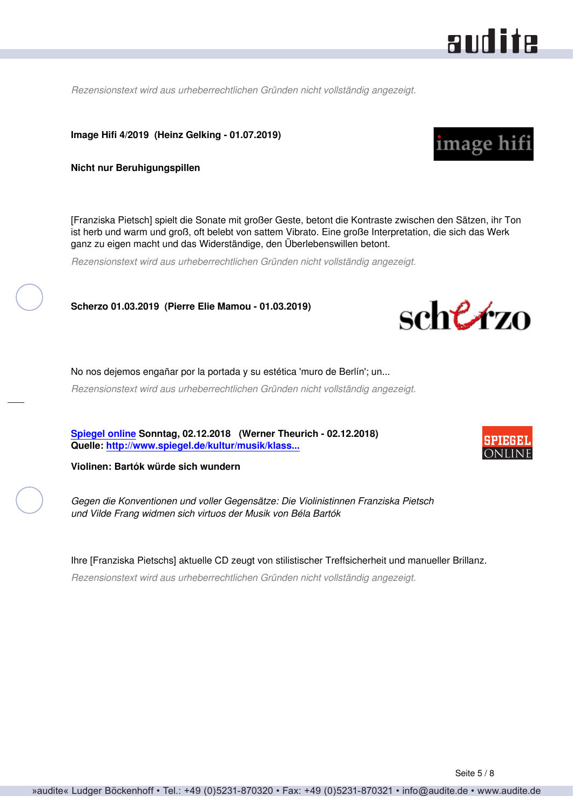<span id="page-4-0"></span>*Rezensionstext wird aus urheberrechtlichen Gründen nicht vollständig angezeigt.*

**Image Hifi 4/2019 (Heinz Gelking - 01.07.2019)**

**Nicht nur Beruhigungspillen**

[Franziska Pietsch] spielt die Sonate mit großer Geste, betont die Kontraste zwischen den Sätzen, ihr Ton ist herb und warm und groß, oft belebt von sattem Vibrato. Eine große Interpretation, die sich das Werk ganz zu eigen macht und das Widerständige, den Überlebenswillen betont.

*Rezensionstext wird aus urheberrechtlichen Gründen nicht vollständig angezeigt.*

**Scherzo 01.03.2019 (Pierre Elie Mamou - 01.03.2019)**

No nos dejemos engañar por la portada y su estética 'muro de Berlín'; un...

*Rezensionstext wird aus urheberrechtlichen Gründen nicht vollständig angezeigt.*

**[Spiegel online](http://www.spiegel.de) Sonntag, 02.12.2018 (Werner Theurich - 02.12.2018) Quelle: [http://www.spiegel.de/kultur/musik/klass...](http://www.spiegel.de/kultur/musik/klassik-franziska-pietsch-vilde-frang-spielen-bela-bartok-a-1240922.html)**

**Violinen: Bartók würde sich wundern**

*Gegen die Konventionen und voller Gegensätze: Die Violinistinnen Franziska Pietsch und Vilde Frang widmen sich virtuos der Musik von Béla Bartók*

Ihre [Franziska Pietschs] aktuelle CD zeugt von stilistischer Treffsicherheit und manueller Brillanz.

*Rezensionstext wird aus urheberrechtlichen Gründen nicht vollständig angezeigt.*



sche*k*zo

audite



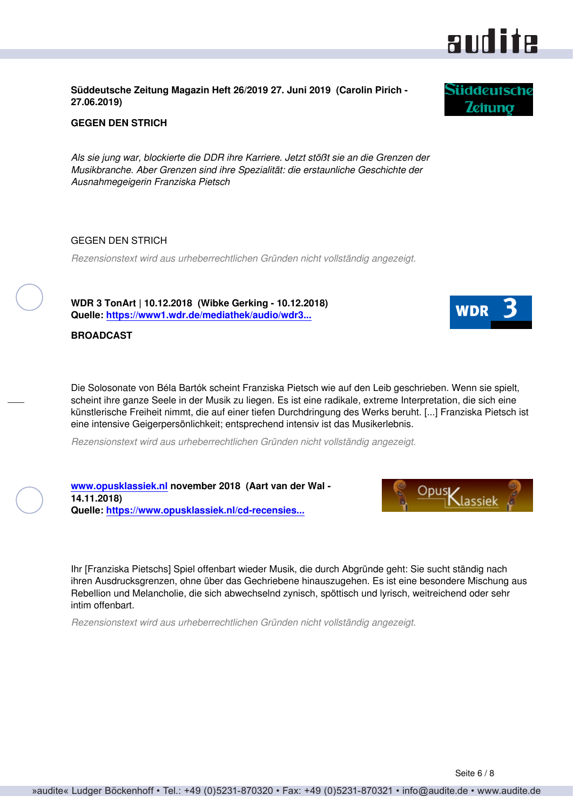#### <span id="page-5-0"></span>**Süddeutsche Zeitung Magazin Heft 26/2019 27. Juni 2019 (Carolin Pirich - 27.06.2019)**

#### **GEGEN DEN STRICH**

*Als sie jung war, blockierte die DDR ihre Karriere. Jetzt stößt sie an die Grenzen der Musikbranche. Aber Grenzen sind ihre Spezialität: die erstaunliche Geschichte der Ausnahmegeigerin Franziska Pietsch*

#### GEGEN DEN STRICH

*Rezensionstext wird aus urheberrechtlichen Gründen nicht vollständig angezeigt.*

**WDR 3 TonArt | 10.12.2018 (Wibke Gerking - 10.12.2018) Quelle: [https://www1.wdr.de/mediathek/audio/wdr3...](https://www1.wdr.de/mediathek/audio/wdr3/wdr3-tonart/audio-cd-rezension-franziska-pietsch---solostuecke-100.html)**

**[www.opusklassiek.nl](http://www.opusklassiek.nl) november 2018 (Aart van der Wal -**

**Quelle: [https://www.opusklassiek.nl/cd-recensies...](https://www.opusklassiek.nl/cd-recensies/cd-aw/bartok21.htm)**

**BROADCAST**

**14.11.2018)**

Die Solosonate von Béla Bartók scheint Franziska Pietsch wie auf den Leib geschrieben. Wenn sie spielt, scheint ihre ganze Seele in der Musik zu liegen. Es ist eine radikale, extreme Interpretation, die sich eine künstlerische Freiheit nimmt, die auf einer tiefen Durchdringung des Werks beruht. [...] Franziska Pietsch ist eine intensive Geigerpersönlichkeit; entsprechend intensiv ist das Musikerlebnis.

*Rezensionstext wird aus urheberrechtlichen Gründen nicht vollständig angezeigt.*

Ihr [Franziska Pietschs] Spiel offenbart wieder Musik, die durch Abgründe geht: Sie sucht ständig nach ihren Ausdrucksgrenzen, ohne über das Gechriebene hinauszugehen. Es ist eine besondere Mischung aus Rebellion und Melancholie, die sich abwechselnd zynisch, spöttisch und lyrisch, weitreichend oder sehr intim offenbart.

*Rezensionstext wird aus urheberrechtlichen Gründen nicht vollständig angezeigt.*



**Süddeutsche Zeitung** 



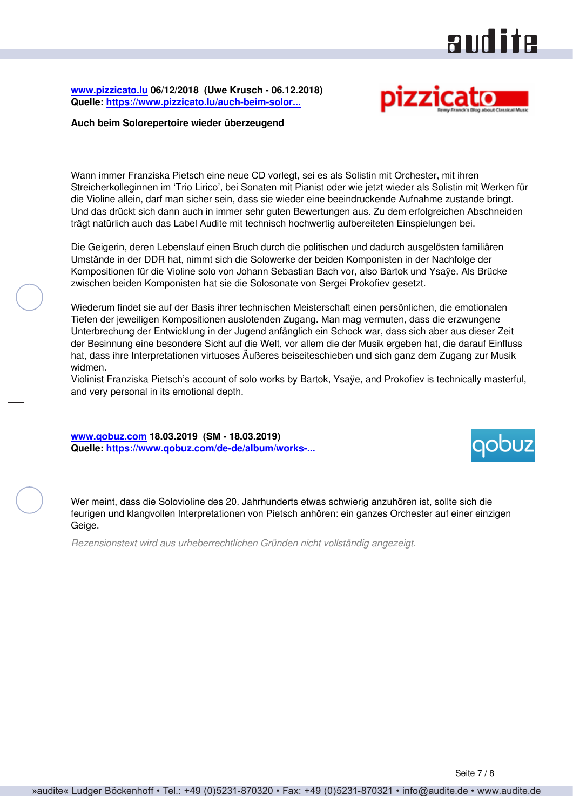## audite

<span id="page-6-0"></span>**[www.pizzicato.lu](http://www.pizzicato.lu) 06/12/2018 (Uwe Krusch - 06.12.2018) Quelle: [https://www.pizzicato.lu/auch-beim-solor...](https://www.pizzicato.lu/auch-beim-solorepertoire-wieder-uberzeugend/)**



#### **Auch beim Solorepertoire wieder überzeugend**

Wann immer Franziska Pietsch eine neue CD vorlegt, sei es als Solistin mit Orchester, mit ihren Streicherkolleginnen im 'Trio Lirico', bei Sonaten mit Pianist oder wie jetzt wieder als Solistin mit Werken für die Violine allein, darf man sicher sein, dass sie wieder eine beeindruckende Aufnahme zustande bringt. Und das drückt sich dann auch in immer sehr guten Bewertungen aus. Zu dem erfolgreichen Abschneiden trägt natürlich auch das Label Audite mit technisch hochwertig aufbereiteten Einspielungen bei.

Die Geigerin, deren Lebenslauf einen Bruch durch die politischen und dadurch ausgelösten familiären Umstände in der DDR hat, nimmt sich die Solowerke der beiden Komponisten in der Nachfolge der Kompositionen für die Violine solo von Johann Sebastian Bach vor, also Bartok und Ysaÿe. Als Brücke zwischen beiden Komponisten hat sie die Solosonate von Sergei Prokofiev gesetzt.

Wiederum findet sie auf der Basis ihrer technischen Meisterschaft einen persönlichen, die emotionalen Tiefen der jeweiligen Kompositionen auslotenden Zugang. Man mag vermuten, dass die erzwungene Unterbrechung der Entwicklung in der Jugend anfänglich ein Schock war, dass sich aber aus dieser Zeit der Besinnung eine besondere Sicht auf die Welt, vor allem die der Musik ergeben hat, die darauf Einfluss hat, dass ihre Interpretationen virtuoses Äußeres beiseiteschieben und sich ganz dem Zugang zur Musik widmen.

Violinist Franziska Pietsch's account of solo works by Bartok, Ysaÿe, and Prokofiev is technically masterful, and very personal in its emotional depth.

**[www.qobuz.com](https://www.qobuz.com) 18.03.2019 (SM - 18.03.2019) Quelle: [https://www.qobuz.com/de-de/album/works-...](https://www.qobuz.com/de-de/album/works-for-solo-violin-bartok-prokofiev-ysaye-franziska-pietsch/s0nq363nesa3b)**



Wer meint, dass die Solovioline des 20. Jahrhunderts etwas schwierig anzuhören ist, sollte sich die feurigen und klangvollen Interpretationen von Pietsch anhören: ein ganzes Orchester auf einer einzigen Geige.

*Rezensionstext wird aus urheberrechtlichen Gründen nicht vollständig angezeigt.*